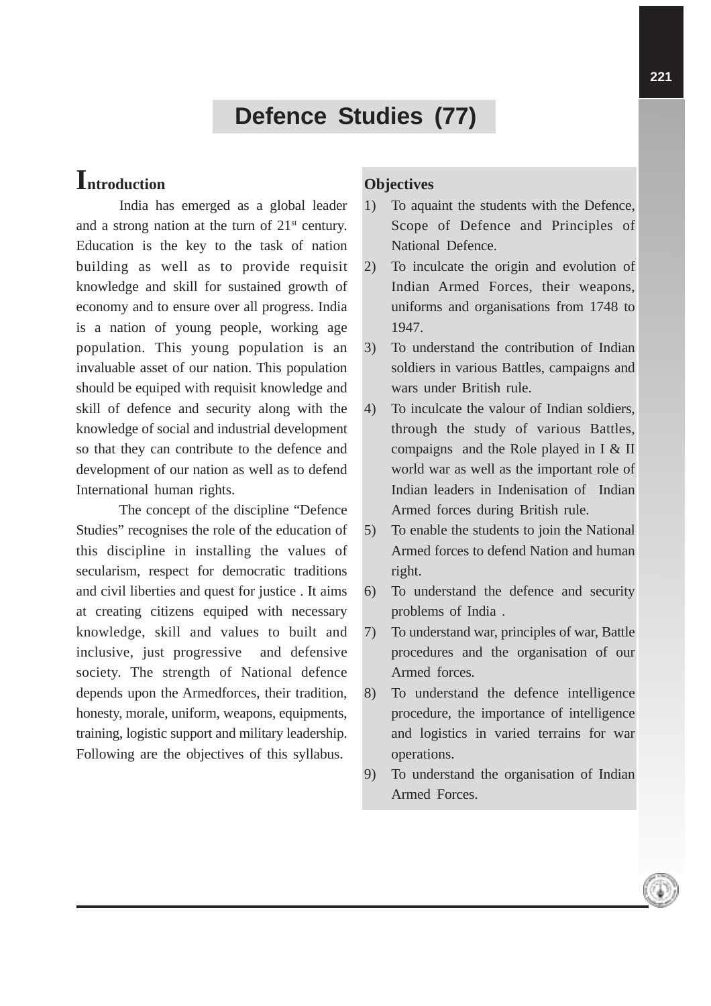# **Defence Studies (77)**

## **Introduction**

India has emerged as a global leader and a strong nation at the turn of  $21<sup>st</sup>$  century. Education is the key to the task of nation building as well as to provide requisit knowledge and skill for sustained growth of economy and to ensure over all progress. India is a nation of young people, working age population. This young population is an invaluable asset of our nation. This population should be equiped with requisit knowledge and skill of defence and security along with the knowledge of social and industrial development so that they can contribute to the defence and development of our nation as well as to defend International human rights.

The concept of the discipline "Defence Studies" recognises the role of the education of this discipline in installing the values of secularism, respect for democratic traditions and civil liberties and quest for justice . It aims at creating citizens equiped with necessary knowledge, skill and values to built and inclusive, just progressive and defensive society. The strength of National defence depends upon the Armedforces, their tradition, honesty, morale, uniform, weapons, equipments, training, logistic support and military leadership. Following are the objectives of this syllabus.

## **Objectives**

- 1) To aquaint the students with the Defence, Scope of Defence and Principles of National Defence.
- 2) To inculcate the origin and evolution of Indian Armed Forces, their weapons, uniforms and organisations from 1748 to 1947.
- 3) To understand the contribution of Indian soldiers in various Battles, campaigns and wars under British rule.
- 4) To inculcate the valour of Indian soldiers, through the study of various Battles, compaigns and the Role played in I & II world war as well as the important role of Indian leaders in Indenisation of Indian Armed forces during British rule.
- 5) To enable the students to join the National Armed forces to defend Nation and human right.
- 6) To understand the defence and security problems of India .
- 7) To understand war, principles of war, Battle procedures and the organisation of our Armed forces.
- 8) To understand the defence intelligence procedure, the importance of intelligence and logistics in varied terrains for war operations.
- 9) To understand the organisation of Indian Armed Forces.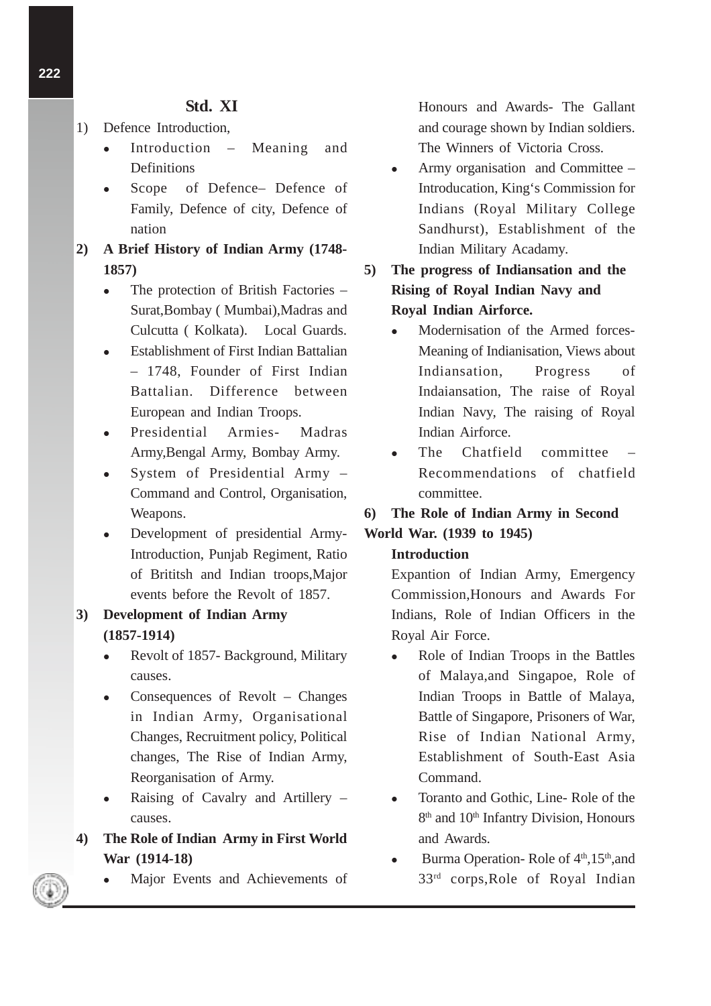## **Std. XI**

- 1) Defence Introduction,
	- Introduction Meaning and **Definitions**
	- Scope of Defence– Defence of Family, Defence of city, Defence of nation
- **2) A Brief History of Indian Army (1748- 1857)**
	- The protection of British Factories Surat,Bombay ( Mumbai),Madras and Culcutta ( Kolkata). Local Guards.
	- Establishment of First Indian Battalian – 1748, Founder of First Indian Battalian. Difference between European and Indian Troops.
	- Presidential Armies- Madras Army,Bengal Army, Bombay Army.
	- System of Presidential Army Command and Control, Organisation, Weapons.
	- Development of presidential Army-Introduction, Punjab Regiment, Ratio of Brititsh and Indian troops,Major events before the Revolt of 1857.

## **3) Development of Indian Army (1857-1914)**

- Revolt of 1857- Background, Military causes.
- Consequences of Revolt Changes in Indian Army, Organisational Changes, Recruitment policy, Political changes, The Rise of Indian Army, Reorganisation of Army.
- Raising of Cavalry and Artillery causes.
- **4) The Role of Indian Army in First World War (1914-18)**
	- Major Events and Achievements of

Honours and Awards- The Gallant and courage shown by Indian soldiers. The Winners of Victoria Cross.

- Army organisation and Committee Introducation, King's Commission for Indians (Royal Military College Sandhurst), Establishment of the Indian Military Acadamy.
- **5) The progress of Indiansation and the Rising of Royal Indian Navy and Royal Indian Airforce.**
	- Modernisation of the Armed forces-Meaning of Indianisation, Views about Indiansation, Progress of Indaiansation, The raise of Royal Indian Navy, The raising of Royal Indian Airforce.
	- The Chatfield committee Recommendations of chatfield committee.

## **6) The Role of Indian Army in Second**

## **World War. (1939 to 1945)**

#### **Introduction**

Expantion of Indian Army, Emergency Commission,Honours and Awards For Indians, Role of Indian Officers in the Royal Air Force.

- Role of Indian Troops in the Battles of Malaya,and Singapoe, Role of Indian Troops in Battle of Malaya, Battle of Singapore, Prisoners of War, Rise of Indian National Army, Establishment of South-East Asia Command.
- Toranto and Gothic, Line-Role of the 8<sup>th</sup> and 10<sup>th</sup> Infantry Division, Honours and Awards.
- $\bullet$  Burma Operation-Role of  $4<sup>th</sup>$ , 15<sup>th</sup>, and 33rd corps,Role of Royal Indian

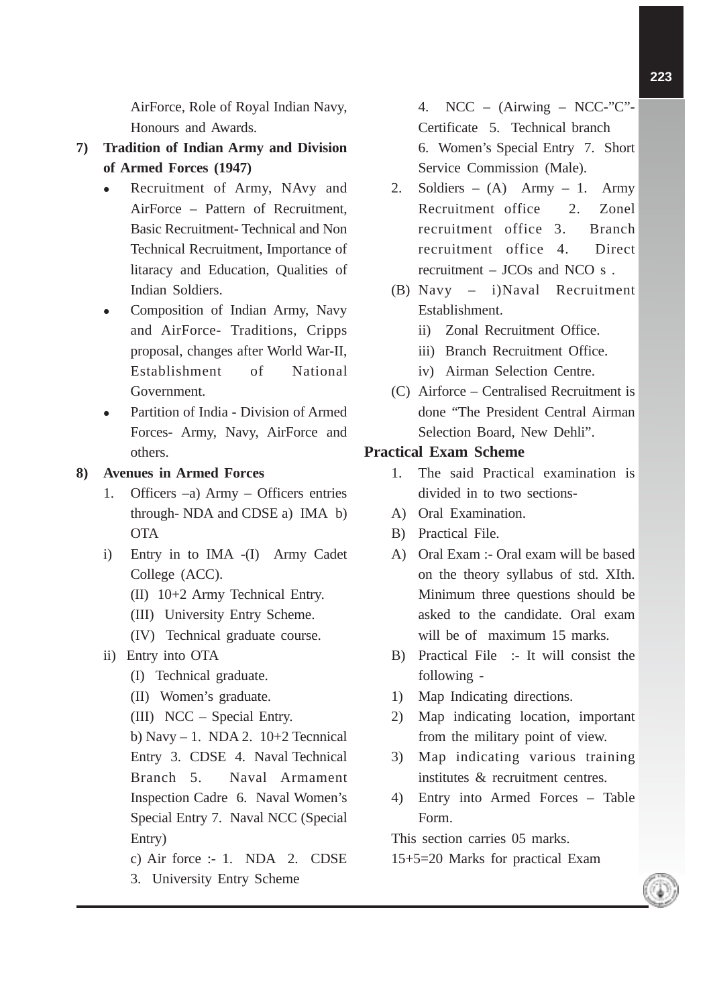AirForce, Role of Royal Indian Navy, Honours and Awards.

- **7) Tradition of Indian Army and Division of Armed Forces (1947)**
	- Recruitment of Army, NAvy and AirForce – Pattern of Recruitment, Basic Recruitment- Technical and Non Technical Recruitment, Importance of litaracy and Education, Qualities of Indian Soldiers.
	- Composition of Indian Army, Navy and AirForce- Traditions, Cripps proposal, changes after World War-II, Establishment of National Government.
	- Partition of India Division of Armed Forces- Army, Navy, AirForce and others.
- **8) Avenues in Armed Forces**
	- 1. Officers –a) Army Officers entries through- NDA and CDSE a) IMA b) **OTA**
	- i) Entry in to IMA -(I) Army Cadet College (ACC).
		- (II) 10+2 Army Technical Entry.
		- (III) University Entry Scheme.
		- (IV) Technical graduate course.
	- ii) Entry into OTA
		- (I) Technical graduate.
		- (II) Women's graduate.
		- (III) NCC Special Entry.
		- b) Navy  $-1$ . NDA 2. 10+2 Tecnnical Entry 3. CDSE 4. Naval Technical Branch 5. Naval Armament Inspection Cadre 6. Naval Women's Special Entry 7. Naval NCC (Special Entry)
		- c) Air force  $: -1$ . NDA 2. CDSE 3. University Entry Scheme

4. NCC – (Airwing – NCC-"C" $-$ Certificate 5. Technical branch 6. Women's Special Entry 7. Short Service Commission (Male).

- 2. Soldiers (A) Army 1. Army Recruitment office 2. Zonel recruitment office 3. Branch recruitment office 4. Direct recruitment – JCOs and NCO s .
- (B) Navy i)Naval Recruitment Establishment.
	- ii) Zonal Recruitment Office.
	- iii) Branch Recruitment Office.
	- iv) Airman Selection Centre.
- (C) Airforce Centralised Recruitment is done "The President Central Airman Selection Board, New Dehli".

#### **Practical Exam Scheme**

- 1. The said Practical examination is divided in to two sections-
- A) Oral Examination.
- B) Practical File.
- A) Oral Exam :- Oral exam will be based on the theory syllabus of std. XIth. Minimum three questions should be asked to the candidate. Oral exam will be of maximum 15 marks.
- B) Practical File :- It will consist the following -
- 1) Map Indicating directions.
- 2) Map indicating location, important from the military point of view.
- 3) Map indicating various training institutes & recruitment centres.
- 4) Entry into Armed Forces Table Form.

This section carries 05 marks.

15+5=20 Marks for practical Exam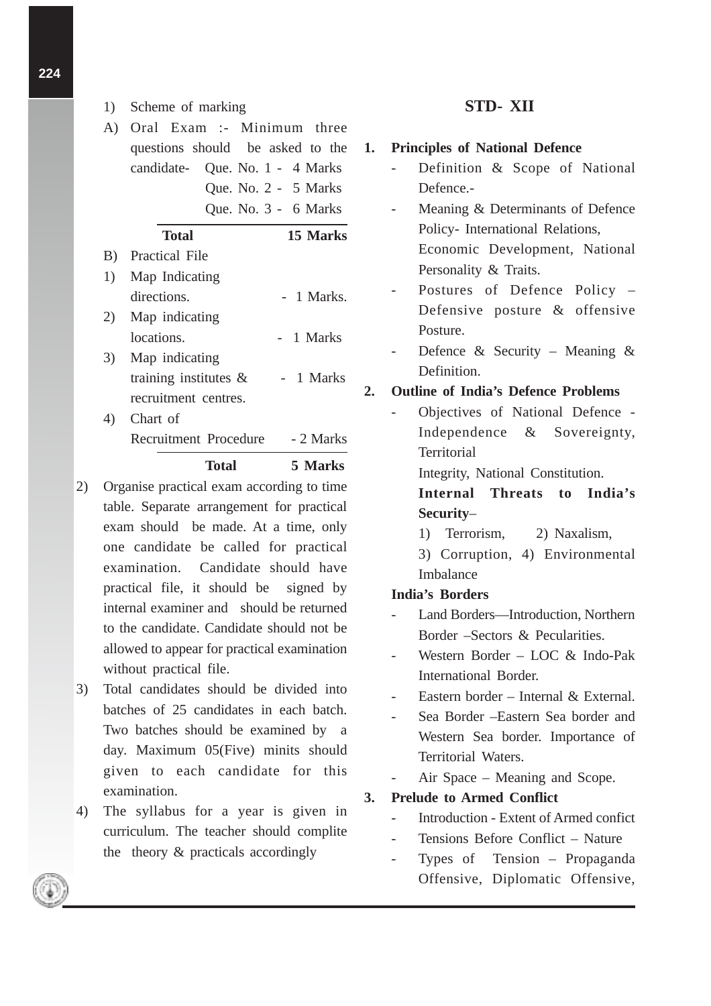- 1) Scheme of marking
- A) Oral Exam :- Minimum three questions should be asked to the candidate- Que. No. 1 - 4 Marks Que. No. 2 - 5 Marks Que. No. 3 - 6 Marks

## **Total 15 Marks** B) Practical File 1) Map Indicating directions. - 1 Marks.

- 2) Map indicating locations. - 1 Marks 3) Map indicating training institutes  $\&$  - 1 Marks
- recruitment centres. 4) Chart of Recruitment Procedure - 2 Marks

#### **Total 5 Marks**

- 2) Organise practical exam according to time table. Separate arrangement for practical exam should be made. At a time, only one candidate be called for practical examination. Candidate should have practical file, it should be signed by internal examiner and should be returned to the candidate. Candidate should not be allowed to appear for practical examination without practical file.
- 3) Total candidates should be divided into batches of 25 candidates in each batch. Two batches should be examined by a day. Maximum 05(Five) minits should given to each candidate for this examination.
- 4) The syllabus for a year is given in curriculum. The teacher should complite the theory & practicals accordingly

### **STD- XII**

- **1. Principles of National Defence**
	- Definition & Scope of National Defence.-
	- Meaning & Determinants of Defence Policy- International Relations, Economic Development, National Personality & Traits.
	- Postures of Defence Policy Defensive posture & offensive Posture.
	- Defence & Security Meaning  $\&$ Definition.

#### **2. Outline of India's Defence Problems**

- Objectives of National Defence - Independence & Sovereignty, **Territorial** 

Integrity, National Constitution.

**Internal Threats to India's Security**–

1) Terrorism, 2) Naxalism,

3) Corruption, 4) Environmental Imbalance

#### **India's Borders**

- Land Borders—Introduction, Northern Border –Sectors & Pecularities.
- Western Border LOC  $& \text{Indo-Pak}$ International Border.
- Eastern border Internal & External.
- Sea Border –Eastern Sea border and Western Sea border. Importance of Territorial Waters.
- Air Space Meaning and Scope.

**3. Prelude to Armed Conflict**

- Introduction Extent of Armed confict
- Tensions Before Conflict Nature
- Types of Tension Propaganda Offensive, Diplomatic Offensive,

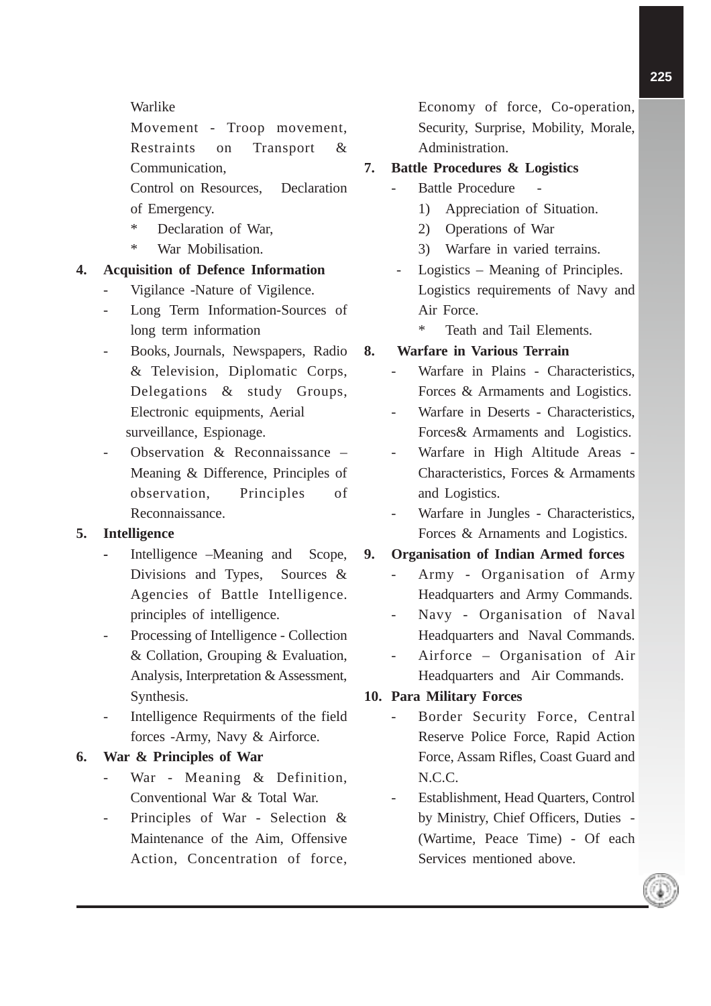#### Warlike

Movement - Troop movement, Restraints on Transport & Communication, Control on Resources, Declaration of Emergency.

- Declaration of War,
- \* War Mobilisation.

#### **4. Acquisition of Defence Information**

- Vigilance -Nature of Vigilence.
- Long Term Information-Sources of long term information
- Books, Journals, Newspapers, Radio & Television, Diplomatic Corps, Delegations & study Groups, Electronic equipments, Aerial surveillance, Espionage.
- Observation  $\&$  Reconnaissance  $-$ Meaning & Difference, Principles of observation, Principles of Reconnaissance.

#### **5. Intelligence**

- **-** Intelligence –Meaning and Scope, Divisions and Types, Sources & Agencies of Battle Intelligence. principles of intelligence.
- Processing of Intelligence Collection & Collation, Grouping & Evaluation, Analysis, Interpretation & Assessment, Synthesis.
- Intelligence Requirments of the field forces -Army, Navy & Airforce.

#### **6. War & Principles of War**

- War Meaning & Definition, Conventional War & Total War.
- Principles of War Selection  $\&$ Maintenance of the Aim, Offensive Action, Concentration of force,

Economy of force, Co-operation, Security, Surprise, Mobility, Morale, Administration.

## **7. Battle Procedures & Logistics**

- Battle Procedure
	- 1) Appreciation of Situation.
	- 2) Operations of War
	- 3) Warfare in varied terrains.
	- Logistics Meaning of Principles. Logistics requirements of Navy and Air Force.
		- Teath and Tail Elements.

#### **8. Warfare in Various Terrain**

- Warfare in Plains Characteristics, Forces & Armaments and Logistics.
- Warfare in Deserts Characteristics, Forces& Armaments and Logistics.
- Warfare in High Altitude Areas Characteristics, Forces & Armaments and Logistics.
- Warfare in Jungles Characteristics, Forces & Arnaments and Logistics.

#### **9. Organisation of Indian Armed forces**

- Army Organisation of Army Headquarters and Army Commands.
- Navy Organisation of Naval Headquarters and Naval Commands.
- Airforce Organisation of Air Headquarters and Air Commands.

#### **10. Para Military Forces**

- Border Security Force, Central Reserve Police Force, Rapid Action Force, Assam Rifles, Coast Guard and N.C.C.
- Establishment, Head Quarters, Control by Ministry, Chief Officers, Duties - (Wartime, Peace Time) - Of each Services mentioned above.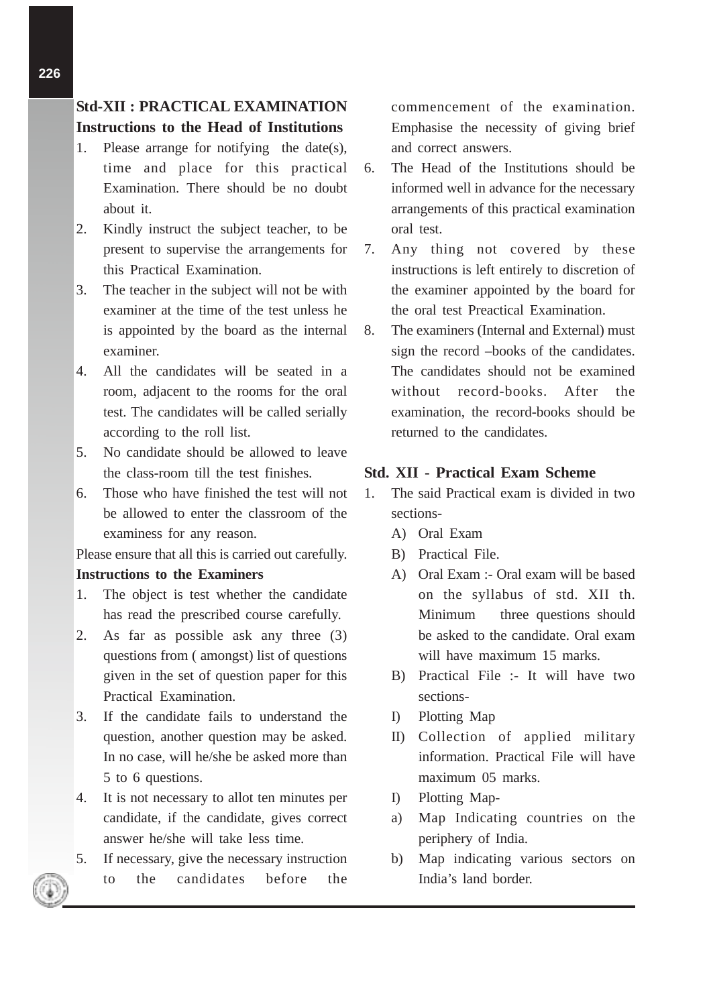**Instructions to the Head of Institutions**

- 1. Please arrange for notifying the date(s), time and place for this practical Examination. There should be no doubt about it.
- 2. Kindly instruct the subject teacher, to be present to supervise the arrangements for this Practical Examination.
- 3. The teacher in the subject will not be with examiner at the time of the test unless he is appointed by the board as the internal examiner.
- 4. All the candidates will be seated in a room, adjacent to the rooms for the oral test. The candidates will be called serially according to the roll list.
- 5. No candidate should be allowed to leave the class-room till the test finishes.
- 6. Those who have finished the test will not be allowed to enter the classroom of the examiness for any reason.

Please ensure that all this is carried out carefully. **Instructions to the Examiners**

- 1. The object is test whether the candidate has read the prescribed course carefully.
- 2. As far as possible ask any three (3) questions from ( amongst) list of questions given in the set of question paper for this Practical Examination.
- 3. If the candidate fails to understand the question, another question may be asked. In no case, will he/she be asked more than 5 to 6 questions.
- 4. It is not necessary to allot ten minutes per candidate, if the candidate, gives correct answer he/she will take less time.
- 5. If necessary, give the necessary instruction to the candidates before the

commencement of the examination. Emphasise the necessity of giving brief and correct answers.

- 6. The Head of the Institutions should be informed well in advance for the necessary arrangements of this practical examination oral test.
- 7. Any thing not covered by these instructions is left entirely to discretion of the examiner appointed by the board for the oral test Preactical Examination.
- 8. The examiners (Internal and External) must sign the record –books of the candidates. The candidates should not be examined without record-books. After the examination, the record-books should be returned to the candidates.

#### **Std. XII - Practical Exam Scheme**

- 1. The said Practical exam is divided in two sections-
	- A) Oral Exam
	- B) Practical File.
	- A) Oral Exam :- Oral exam will be based on the syllabus of std. XII th. Minimum three questions should be asked to the candidate. Oral exam will have maximum 15 marks.
	- B) Practical File :- It will have two sections-
	- I) Plotting Map
	- II) Collection of applied military information. Practical File will have maximum 05 marks.
	- I) Plotting Map-
	- a) Map Indicating countries on the periphery of India.
	- b) Map indicating various sectors on India's land border.